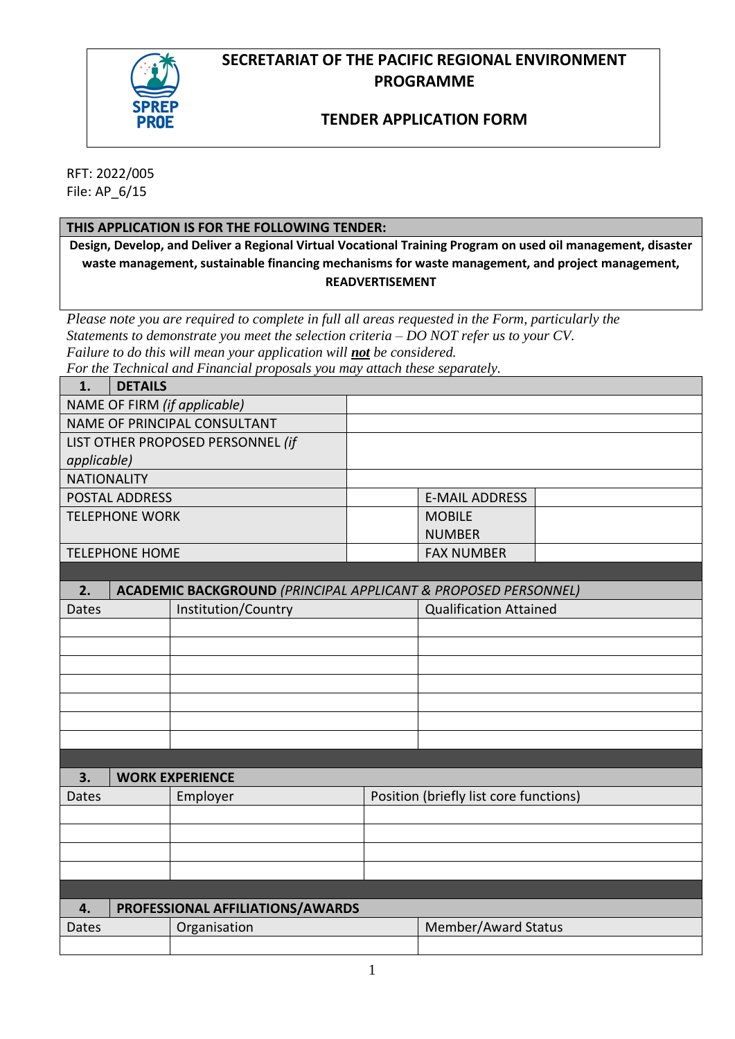# **SECRETARIAT OF THE PACIFIC REGIONAL ENVIRONMENT PROGRAMME**



## **TENDER APPLICATION FORM**

RFT: 2022/005 File: AP\_6/15

### **THIS APPLICATION IS FOR THE FOLLOWING TENDER:**

**Design, Develop, and Deliver a Regional Virtual Vocational Training Program on used oil management, disaster waste management, sustainable financing mechanisms for waste management, and project management, READVERTISEMENT**

*Please note you are required to complete in full all areas requested in the Form, particularly the Statements to demonstrate you meet the selection criteria – DO NOT refer us to your CV. Failure to do this will mean your application will not be considered.* 

*For the Technical and Financial proposals you may attach these separately.*

| 1.                                | <b>DETAILS</b>                         |                                                                           |  |                               |  |
|-----------------------------------|----------------------------------------|---------------------------------------------------------------------------|--|-------------------------------|--|
| NAME OF FIRM (if applicable)      |                                        |                                                                           |  |                               |  |
| NAME OF PRINCIPAL CONSULTANT      |                                        |                                                                           |  |                               |  |
| LIST OTHER PROPOSED PERSONNEL (if |                                        |                                                                           |  |                               |  |
| applicable)                       |                                        |                                                                           |  |                               |  |
| <b>NATIONALITY</b>                |                                        |                                                                           |  |                               |  |
| <b>POSTAL ADDRESS</b>             |                                        |                                                                           |  | <b>E-MAIL ADDRESS</b>         |  |
| <b>TELEPHONE WORK</b>             |                                        |                                                                           |  | <b>MOBILE</b>                 |  |
|                                   |                                        |                                                                           |  | <b>NUMBER</b>                 |  |
|                                   | <b>TELEPHONE HOME</b>                  |                                                                           |  | <b>FAX NUMBER</b>             |  |
|                                   |                                        |                                                                           |  |                               |  |
| 2.                                |                                        | <b>ACADEMIC BACKGROUND (PRINCIPAL APPLICANT &amp; PROPOSED PERSONNEL)</b> |  |                               |  |
| <b>Dates</b>                      |                                        | Institution/Country                                                       |  | <b>Qualification Attained</b> |  |
|                                   |                                        |                                                                           |  |                               |  |
|                                   |                                        |                                                                           |  |                               |  |
|                                   |                                        |                                                                           |  |                               |  |
|                                   |                                        |                                                                           |  |                               |  |
|                                   |                                        |                                                                           |  |                               |  |
|                                   |                                        |                                                                           |  |                               |  |
|                                   |                                        |                                                                           |  |                               |  |
|                                   |                                        |                                                                           |  |                               |  |
| 3.                                |                                        | <b>WORK EXPERIENCE</b>                                                    |  |                               |  |
| <b>Dates</b><br>Employer          |                                        | Position (briefly list core functions)                                    |  |                               |  |
|                                   |                                        |                                                                           |  |                               |  |
|                                   |                                        |                                                                           |  |                               |  |
|                                   |                                        |                                                                           |  |                               |  |
|                                   |                                        |                                                                           |  |                               |  |
|                                   |                                        |                                                                           |  |                               |  |
|                                   | PROFESSIONAL AFFILIATIONS/AWARDS<br>4. |                                                                           |  |                               |  |
| <b>Dates</b>                      |                                        | Organisation                                                              |  | Member/Award Status           |  |
|                                   |                                        |                                                                           |  |                               |  |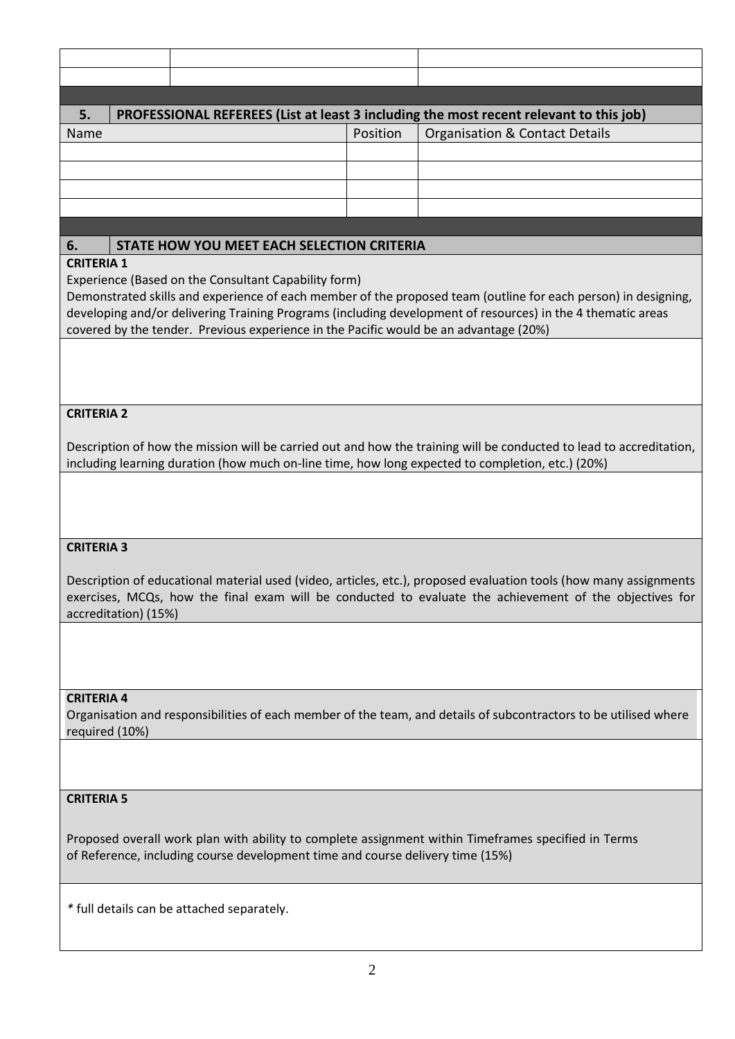| 5.   | PROFESSIONAL REFEREES (List at least 3 including the most recent relevant to this job) |          |                                |  |  |
|------|----------------------------------------------------------------------------------------|----------|--------------------------------|--|--|
| Name |                                                                                        | Position | Organisation & Contact Details |  |  |
|      |                                                                                        |          |                                |  |  |
|      |                                                                                        |          |                                |  |  |
|      |                                                                                        |          |                                |  |  |
|      |                                                                                        |          |                                |  |  |

### **6. STATE HOW YOU MEET EACH SELECTION CRITERIA**

### **CRITERIA 1**

Experience (Based on the Consultant Capability form)

Demonstrated skills and experience of each member of the proposed team (outline for each person) in designing, developing and/or delivering Training Programs (including development of resources) in the 4 thematic areas covered by the tender. Previous experience in the Pacific would be an advantage (20%)

### **CRITERIA 2**

Description of how the mission will be carried out and how the training will be conducted to lead to accreditation, including learning duration (how much on-line time, how long expected to completion, etc.) (20%)

### **CRITERIA 3**

Description of educational material used (video, articles, etc.), proposed evaluation tools (how many assignments exercises, MCQs, how the final exam will be conducted to evaluate the achievement of the objectives for accreditation) (15%)

#### **CRITERIA 4**

Organisation and responsibilities of each member of the team, and details of subcontractors to be utilised where required (10%)

#### **CRITERIA 5**

Proposed overall work plan with ability to complete assignment within Timeframes specified in Terms of Reference, including course development time and course delivery time (15%)

*\** full details can be attached separately.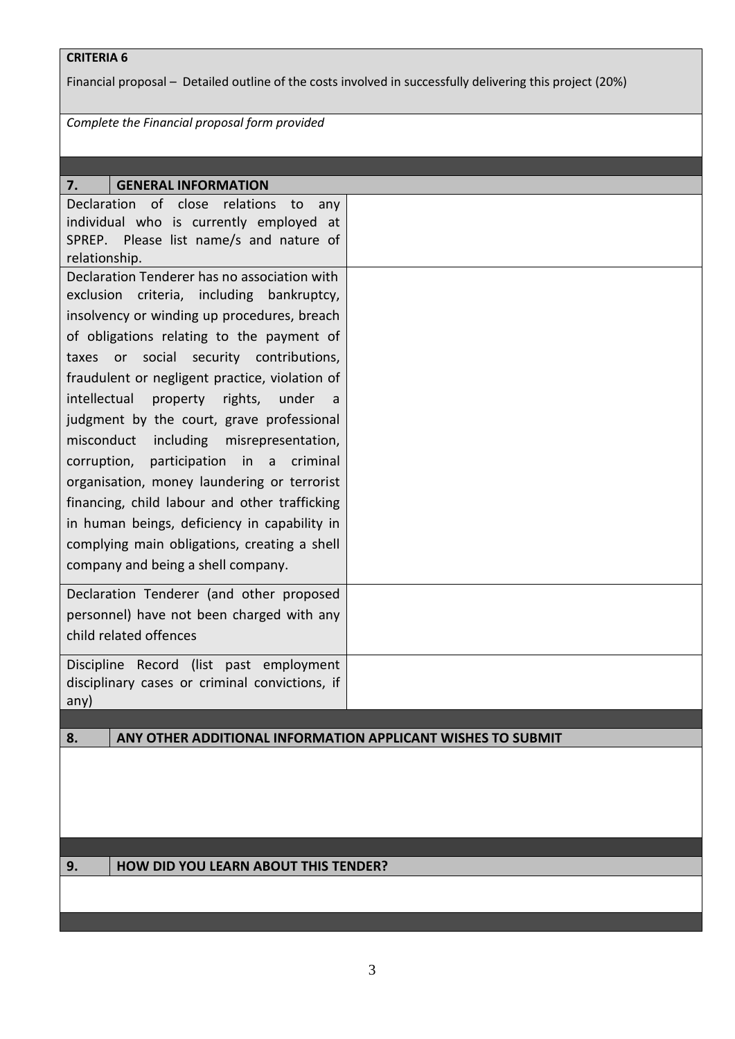### **CRITERIA 6**

Financial proposal – Detailed outline of the costs involved in successfully delivering this project (20%)

*Complete the Financial proposal form provided*

| 7.<br><b>GENERAL INFORMATION</b>                                                                                                                                                                                                                                                                                                                                                                                                                                                                                                                                                                                                                                                                                    |  |
|---------------------------------------------------------------------------------------------------------------------------------------------------------------------------------------------------------------------------------------------------------------------------------------------------------------------------------------------------------------------------------------------------------------------------------------------------------------------------------------------------------------------------------------------------------------------------------------------------------------------------------------------------------------------------------------------------------------------|--|
| of close<br>Declaration<br>relations<br>to<br>any<br>individual who is currently employed at<br>SPREP. Please list name/s and nature of<br>relationship.                                                                                                                                                                                                                                                                                                                                                                                                                                                                                                                                                            |  |
| Declaration Tenderer has no association with<br>exclusion criteria, including bankruptcy,<br>insolvency or winding up procedures, breach<br>of obligations relating to the payment of<br>taxes or social security contributions,<br>fraudulent or negligent practice, violation of<br>intellectual<br>property rights, under<br>a<br>judgment by the court, grave professional<br>misconduct<br>including misrepresentation,<br>criminal<br>participation in a<br>corruption,<br>organisation, money laundering or terrorist<br>financing, child labour and other trafficking<br>in human beings, deficiency in capability in<br>complying main obligations, creating a shell<br>company and being a shell company. |  |
| Declaration Tenderer (and other proposed<br>personnel) have not been charged with any<br>child related offences                                                                                                                                                                                                                                                                                                                                                                                                                                                                                                                                                                                                     |  |
| Discipline Record (list past employment<br>disciplinary cases or criminal convictions, if<br>any)                                                                                                                                                                                                                                                                                                                                                                                                                                                                                                                                                                                                                   |  |
|                                                                                                                                                                                                                                                                                                                                                                                                                                                                                                                                                                                                                                                                                                                     |  |
| ANY OTHER ADDITIONAL INFORMATION APPLICANT WISHES TO SUBMIT<br>8.                                                                                                                                                                                                                                                                                                                                                                                                                                                                                                                                                                                                                                                   |  |
|                                                                                                                                                                                                                                                                                                                                                                                                                                                                                                                                                                                                                                                                                                                     |  |

## **9. HOW DID YOU LEARN ABOUT THIS TENDER?**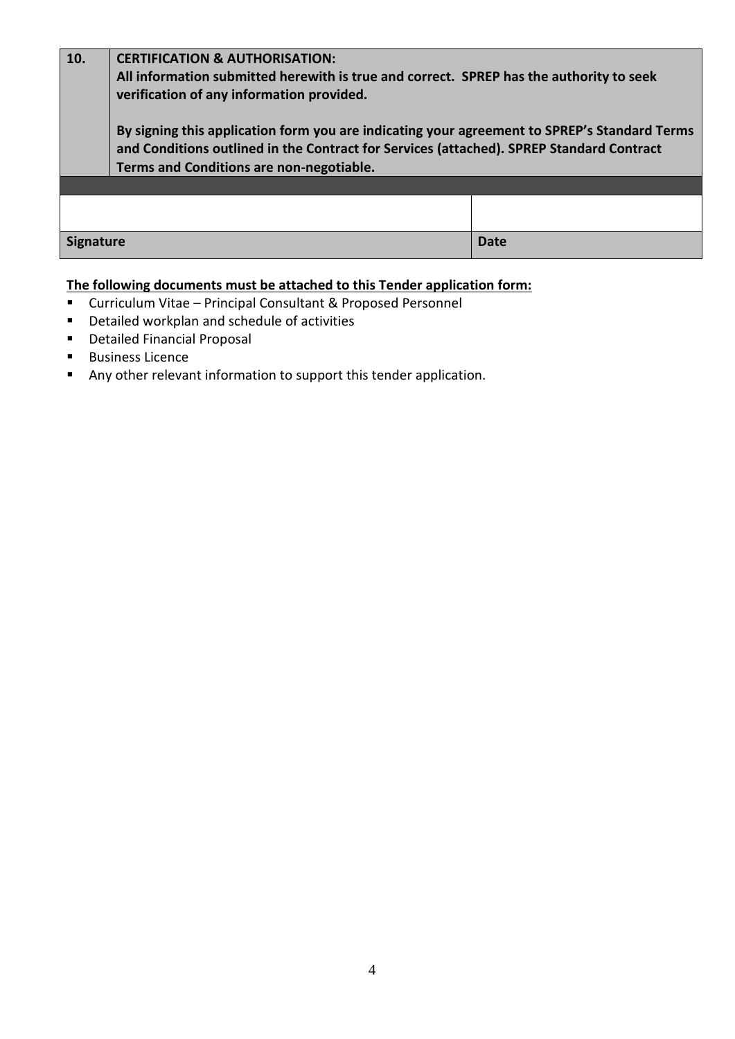| 10.              | <b>CERTIFICATION &amp; AUTHORISATION:</b><br>All information submitted herewith is true and correct. SPREP has the authority to seek<br>verification of any information provided.                                                    |      |  |  |
|------------------|--------------------------------------------------------------------------------------------------------------------------------------------------------------------------------------------------------------------------------------|------|--|--|
|                  | By signing this application form you are indicating your agreement to SPREP's Standard Terms<br>and Conditions outlined in the Contract for Services (attached). SPREP Standard Contract<br>Terms and Conditions are non-negotiable. |      |  |  |
|                  |                                                                                                                                                                                                                                      |      |  |  |
|                  |                                                                                                                                                                                                                                      |      |  |  |
| <b>Signature</b> |                                                                                                                                                                                                                                      | Date |  |  |

## **The following documents must be attached to this Tender application form:**

- Curriculum Vitae Principal Consultant & Proposed Personnel
- Detailed workplan and schedule of activities
- Detailed Financial Proposal
- Business Licence
- Any other relevant information to support this tender application.